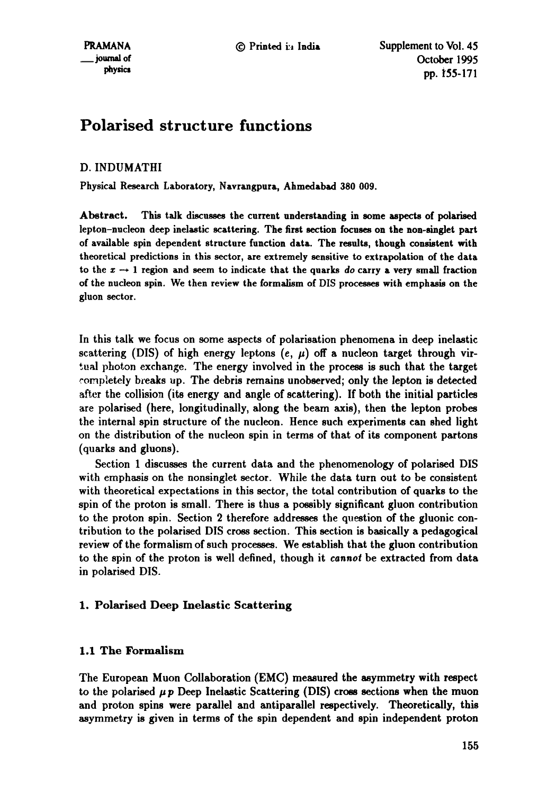# **Polarised structure functions**

# D. INDUMATHI

Physical Research Laboratory, Navrangpura, Ahmedabad 380 009.

Abstract. This talk discusses the current understanding in some aspects of polarised lepton-nucleon deep inelastic scattering. The first section focuses on the non-singlet part of available spin dependent structure function data. The results, though consistent with theoretical predictions in this sector, are extremely sensitive to extrapolation of the data to the  $x \rightarrow 1$  region and seem to indicate that the quarks *do* carry a very small fraction of the nucleon spin. We then review the formalism of DIS processes with emphasis on the gluon sector.

In this talk we focus on some aspects of polarisation phenomena in deep inelastic scattering (DIS) of high energy leptons  $(e, \mu)$  off a nucleon target through virtual photon exchange. The energy involved in the process is such that the target completely breaks up. The debris remains unobserved; only the lepton is detected after the collision (its energy and angle of scattering). If both the initial particles are polarised (here, longitudinally, along the beam axis), then the lepton probes the internal spin structure of the nucleon. Hence such experiments can shed light on the distribution of the nucleon spin in terms of that of its component partons (quarks and gluons).

Section 1 discusses the current data and the phenomenology of polarised DIS with emphasis on the nonsinglet sector. While the data turn out to be consistent with theoretical expectations in this sector, the total contribution of quarks to the spin of the proton is small. There is thus a possibly significant gluon contribution to the proton spin. Section 2 therefore addresses the question of the gluonic contribution to the polarised DIS cross section. This section is basically a pedagogical review of the formalism of such processes. We establish that the gluon contribution to the spin of the proton is well defined, though it *cannot* be extracted from data in polarised DIS.

# 1. Polarised Deep Inelastic Scattering

# 1.1 The Formalism

The European Muon Collaboration (EMC) measured the asymmetry with respect to the polarised *pp* Deep Inelastic Scattering (DIS) cross sections when the muon and proton spins were parallel and antiparallel respectively. Theoretically, this asymmetry is given in terms of the spin dependent and spin independent proton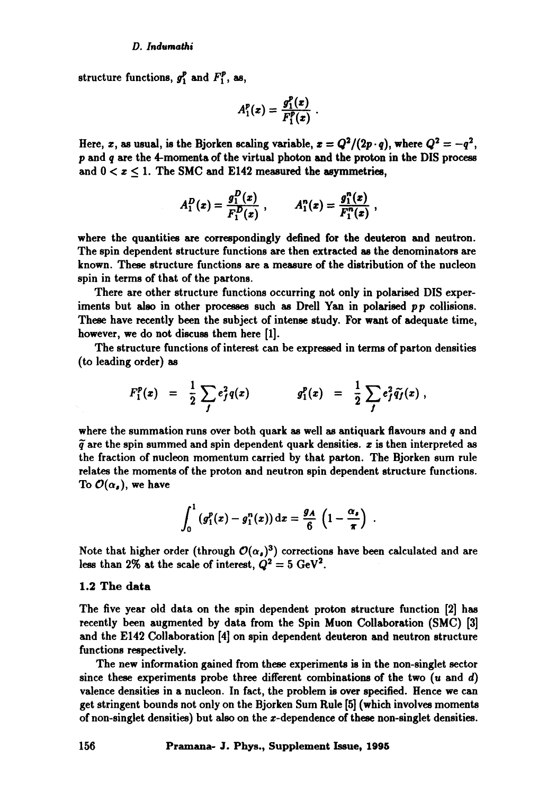structure functions,  $g_1^p$  and  $F_1^p$ , as,

$$
A_1^p(x)=\frac{g_1^p(x)}{F_1^p(x)}.
$$

Here, x, as usual, is the Bjorken scaling variable,  $x = Q^2/(2p \cdot q)$ , where  $Q^2 = -q^2$ , **p and q** are the 4-momenta of the virtual photon and the proton in the DIS process and  $0 < x < 1$ . The SMC and E142 measured the asymmetries,

$$
A_1^D(x) = \frac{g_1^D(x)}{F_1^D(x)} , \qquad A_1^n(x) = \frac{g_1^n(x)}{F_1^n(x)} ,
$$

where the quantities are correspondingly defined for the deuteron and neutron. The spin dependent structure functions are then extracted as the denominators are known. These structure functions are a measure of the distribution of the nucleon spin in terms of that of the partons.

There are other structure functions occurring not only in polarised DIS experiments but also in other processes such as Drell Yan in polarised *pp* collisions. These have recently been the subject of intense study. For want of adequate time, however, we do not discuss them here [1].

The structure functions of interest can be expressed in terms of parton densities (to leading order) as

$$
F_1^p(x) = \frac{1}{2} \sum_j e_j^2 q(x) \qquad \qquad g_1^p(x) = \frac{1}{2} \sum_j e_j^2 \tilde{q}_j(x) ,
$$

where the summation runs over both quark as well as antiquark flavours and  $q$  and  $\tilde{q}$  are the spin summed and spin dependent quark densities,  $x$  is then interpreted as the fraction of nucleon momentum carried by that parton. The Bjorken sum rule relates the moments of the proton and neutron spin dependent structure functions. To  $\mathcal{O}(\alpha_s)$ , we have

$$
\int_0^1 \left(g_1^p(x) - g_1^n(x)\right) \mathrm{d}x = \frac{g_A}{6} \left(1 - \frac{\alpha_s}{\pi}\right) \; .
$$

Note that higher order (through  $\mathcal{O}(\alpha_s)^3$ ) corrections have been calculated and are less than 2% at the scale of interest,  $Q^2 = 5 \text{ GeV}^2$ .

## 1.2 The data

The five year old data on the spin dependent proton structure function [2] has recently been augmented by data from the Spin Muon Collaboration (SMC) [3] and the E142 Collaboration [4] on spin dependent deuteron and neutron structure functions respectively.

The new information gained from these experiments is in the non-singlet sector since these experiments probe three different combinations of the two  $(u \text{ and } d)$ valence densities in a nucleon. In fact, the problem is over specified. Hence we can get stringent bounds not only on the Bjorken Sum Rule [5] (which involves moments of non-singlet densities) but also on the z-dependence of these non-singlet densities.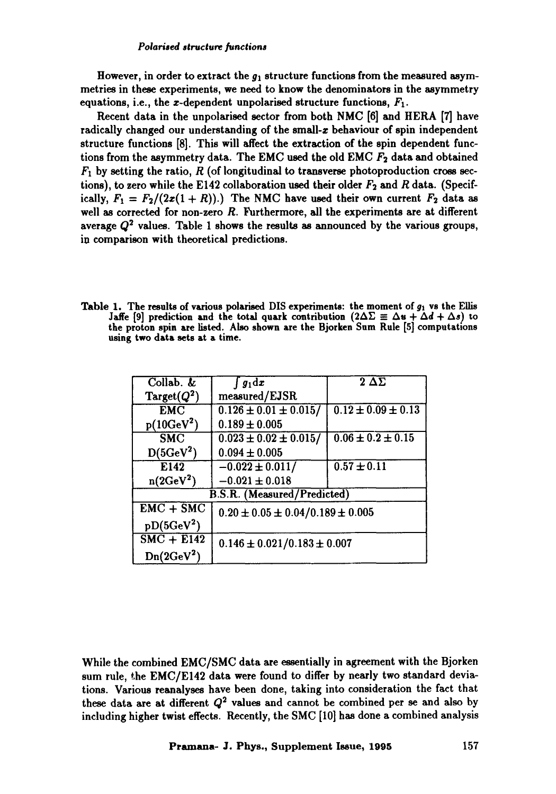However, in order to extract the  $g_1$  structure functions from the measured asymmetries in these experiments, we need to know the denominators in the asymmetry equations, i.e., the *x*-dependent unpolarised structure functions,  $F_1$ .

Recent data in the unpolarised sector from both NMC [6] and HERA [7] have radically changed our understanding of the small-z behaviour of spin independent structure functions [8]. This will affect the extraction of the spin dependent functions from the asymmetry data. The EMC used the old EMC  $F_2$  data and obtained  $F_1$  by setting the ratio, R (of longitudinal to transverse photoproduction cross sections), to zero while the E142 collaboration used their older  $F_2$  and R data. (Specifically,  $F_1 = F_2/(2x(1+R))$ .) The NMC have used their own current  $F_2$  data as well as corrected for non-zero R. Furthermore, all the experiments are at different average  $Q^2$  values. Table 1 shows the results as announced by the various groups, in comparison with theoretical predictions.

Table 1. The results of various polarised DIS experiments: the moment of  $g_1$  vs the Ellis Jaffe [9] prediction and the total quark contribution  $(2\Delta\Sigma \equiv \Delta u + \Delta d + \Delta s)$  to the proton spin axe listed. Also shown are the **Bjorken Sum Rule [5]** computations **using two data sets at a time.** 

| Collab.                            | $g_1 \mathrm{d} x$                       | $2\ \Delta \overline{\Sigma}$ |  |  |  |  |
|------------------------------------|------------------------------------------|-------------------------------|--|--|--|--|
| $Target(Q^2)$                      | measured/EJSR                            |                               |  |  |  |  |
| EMC                                | $0.126 \pm 0.01 \pm 0.015$ /             | $0.12 \pm 0.09 \pm 0.13$      |  |  |  |  |
| $p(10 GeV^2)$                      | $0.189 \pm 0.005$                        |                               |  |  |  |  |
| $\overline{\text{SMC}}$            | $0.023 \pm 0.02 \pm 0.015$ /             | $0.06 \pm 0.2 \pm 0.15$       |  |  |  |  |
| $D(5 \text{GeV}^2)$                | $0.094 \pm 0.005$                        |                               |  |  |  |  |
| E142                               | $-0.022 \pm 0.011/$                      | $0.57 \pm 0.11$               |  |  |  |  |
| $n(2 \text{GeV}^2)$                | $-0.021 \pm 0.018$                       |                               |  |  |  |  |
| <b>B.S.R.</b> (Measured/Predicted) |                                          |                               |  |  |  |  |
| $EMC + SMC$                        | $0.20 \pm 0.05 \pm 0.04/0.189 \pm 0.005$ |                               |  |  |  |  |
| $pD(5GeV^2)$                       |                                          |                               |  |  |  |  |
| $SMC + E142$                       | $0.146 \pm 0.021/0.183 \pm 0.007$        |                               |  |  |  |  |
| $Dn(2 \text{GeV}^2)$               |                                          |                               |  |  |  |  |

While the combined EMC/SMC data are essentially in agreement with the Bjorken sum rule, the EMC/E142 data were found to differ by nearly two standard deviations. Various reanalyses have been done, taking into consideration the fact that these data are at different  $Q^2$  values and cannot be combined per se and also by including higher twist effects. Recently, the SMC [10] has done a combined analysis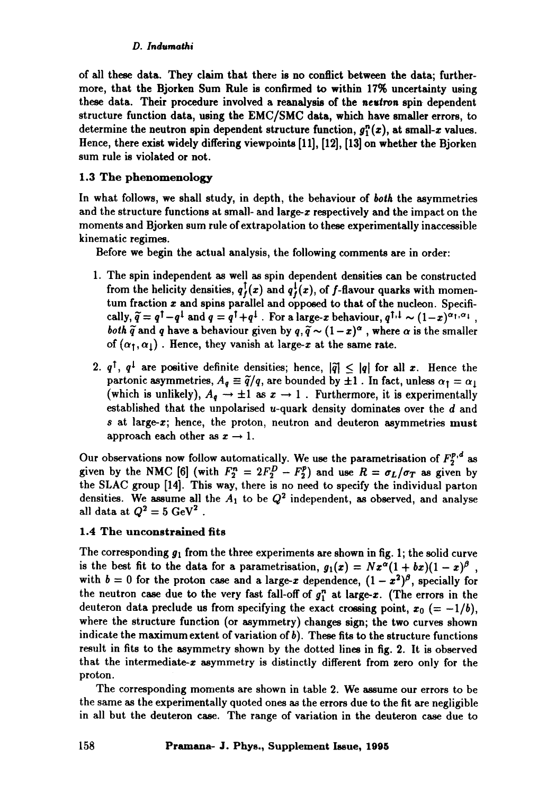of all these data. They claim that there is **no conflict** between the data; furthermore, that the Bjorken Sum Rule is confirmed to within 17% uncertainty using these data. Their procedure involved a reanalysis of **the** *neltron* spin dependent structure function data, using the EMC/SMC data, which have smaller errors, to determine the neutron spin dependent structure function,  $g_1^n(x)$ , at small-x values. Hence, there exist widely differing viewpoints [11], [12], [13] on whether the Bjorken sum rule is violated or not.

# 1.3 The **phenomenology**

In what follows, we shall study, in depth, the behaviour of *both* the asymmetries and the structure functions at small- and large- $x$  respectively and the impact on the moments and Bjorken sum rule of extrapolation to these experimentally inaccessible kinematic regimes.

Before we begin the actual analysis, the following comments are in order:

- 1. The spin independent as well as spin dependent densities can be constructed from the helicity densities,  $q_{\ell}^{\dagger}(x)$  and  $q_{\ell}^{\dagger}(x)$ , of f-flavour quarks with momentum fraction  $x$  and spins parallel and opposed to that of the nucleon. Specifically,  $\tilde{q} = q^{\dagger} - q^{\dagger}$  and  $q = q^{\dagger} + q^{\dagger}$ . For a large-*x* behaviour,  $q^{\dagger,1} \sim (1-x)^{\alpha_1,\alpha_1}$ , *both*  $\widetilde{q}$  and q have a behaviour given by  $q, \widetilde{q} \sim (1-x)^{\alpha}$ , where  $\alpha$  is the smaller of  $(\alpha_1, \alpha_1)$ . Hence, they vanish at large-x at the same rate.
- 2.  $q^{\dagger}$ ,  $q^{\dagger}$  are positive definite densities; hence,  $|\tilde{q}| \leq |q|$  for all x. Hence the partonic asymmetries,  $A_q \equiv \tilde{q}/q$ , are bounded by  $\pm 1$ . In fact, unless  $\alpha_1 = \alpha_1$ (which is unlikely),  $A_{q} \rightarrow \pm 1$  as  $x \rightarrow 1$ . Furthermore, it is experimentally established that the unpolarised u-quark density dominates over the  $d$  and  $s$  at large- $x$ ; hence, the proton, neutron and deuteron asymmetries must approach each other as  $x \to 1$ .

Our observations now follow automatically. We use the parametrisation of  $F_2^{p,q}$  as given by the NMC [6] (with  $F_2^n = 2F_2^p - F_2^p$ ) and use  $R = \sigma_L/\sigma_T$  as given by the SLAC group [14]. This way, there is no need to specify the individual parton densities. We assume all the  $A_1$  to be  $Q^2$  independent, as observed, and analyse all data at  $Q^2 = 5 \text{ GeV}^2$ .

# 1.4 The unconstrained fits

The corresponding  $g_1$  from the three experiments are shown in fig. 1; the solid curve is the best fit to the data for a parametrisation,  $g_1(x) = Nx^{\alpha}(1 + bx)(1 - x)^{\beta}$ , with  $b = 0$  for the proton case and a large-x dependence,  $(1 - x^2)^\beta$ , specially for the neutron case due to the very fast fall-off of  $g_{1}^{n}$  at large-x. (The errors in the deuteron data preclude us from specifying the exact crossing point,  $x_0$  (= -1/b), where the structure function (or asymmetry) changes sign; the two curves shown indicate the maximum extent of variation of  $b$ ). These fits to the structure functions result in fits to the asymmetry shown by the dotted lines in fig. 2. It is observed that the intermediate-z asymmetry is distinctly different from zero only for the proton.

The corresponding moments are shown in table 2. We assume our errors to be the same as the experimentally quoted ones as the errors due to the fit are negligible in all but the deuteron case. The range of variation in the deuteron case due to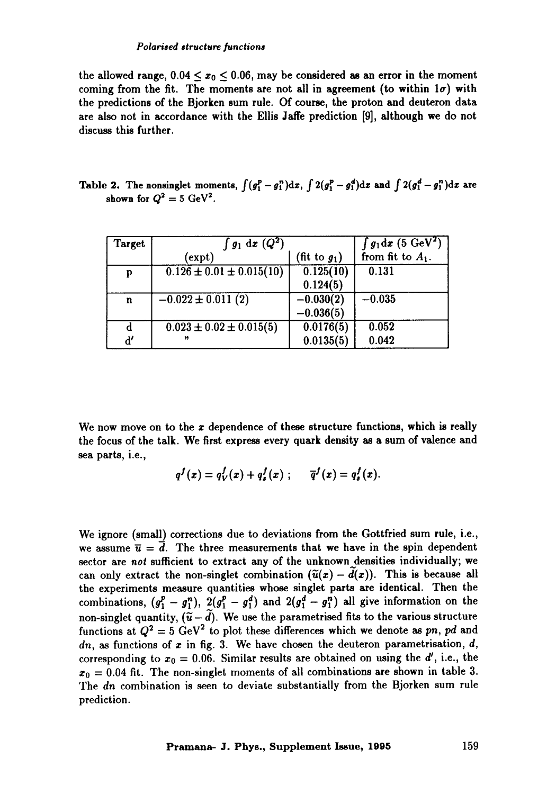the allowed range,  $0.04 \le x_0 \le 0.06$ , may be considered as an error in the moment coming from the fit. The moments are not all in agreement (to within  $1\sigma$ ) with the predictions of the Bjorken sum rule. Of course, the proton and deuteron data are also not in accordance with the Ellis Jaffe prediction [9], although we do not discuss this further.

**Table 2.** The nonsinglet moments,  $\int (g_1^p - g_1^n) dx$ ,  $\int 2(g_1^p - g_1^d) dx$  and  $\int 2(g_1^d - g_1^n) dx$  are shown for  $Q^2 = 5$  GeV<sup>2</sup>.

| Target        | $\int g_1 dx (Q^2)$            |                 | $\int g_1 dx$ (5 GeV <sup>2</sup> )<br>from fit to $A_1$ . |
|---------------|--------------------------------|-----------------|------------------------------------------------------------|
|               | (expt)                         | (fit to $g_1$ ) |                                                            |
| p             | $0.126 \pm 0.01 \pm 0.015(10)$ | 0.125(10)       | 0.131                                                      |
|               |                                | 0.124(5)        |                                                            |
| $\mathbf n$   | $-0.022 \pm 0.011(2)$          | $-0.030(2)$     | $-0.035$                                                   |
|               |                                | $-0.036(5)$     |                                                            |
| d             | $0.023 \pm 0.02 \pm 0.015(5)$  | 0.0176(5)       | 0.052                                                      |
| $\mathbf{d'}$ | $\boldsymbol{v}$               | 0.0135(5)       | 0.042                                                      |

We now move on to the  $x$  dependence of these structure functions, which is really the focus of the talk. We first express every quark density as a sum of valence and sea parts, i.e.,

$$
q^{f}(x)=q_{V}^{f}(x)+q_{s}^{f}(x); \qquad \overline{q}^{f}(x)=q_{s}^{f}(x).
$$

We ignore (small) corrections due to deviations from the Gottfried sum rule, i.e., we assume  $\bar{u} = \bar{d}$ . The three measurements that we have in the spin dependent sector are *not* sufficient to extract any of the unknown densities individually; we can only extract the non-singlet combination  $(\tilde{u}(x) - \tilde{d}(x))$ . This is because all the experiments measure quantities whose singlet parts are identical. Then the combinations,  $(g_1^p - g_1^n)$ ,  $2(g_1^p - g_1^d)$  and  $2(g_1^d - g_1^n)$  all give information on the non-singlet quantity,  $({\tilde{u}} - {\tilde{d}})$ . We use the parametrised fits to the various structure functions at  $Q^2 = 5 \text{ GeV}^2$  to plot these differences which we denote as pn, pd and  $dn$ , as functions of x in fig. 3. We have chosen the deuteron parametrisation,  $d$ , corresponding to  $x_0 = 0.06$ . Similar results are obtained on using the d', i.e., the  $x_0 = 0.04$  fit. The non-singlet moments of all combinations are shown in table 3. The *dn* combination is seen to deviate substantially from the Bjorken sum rule prediction.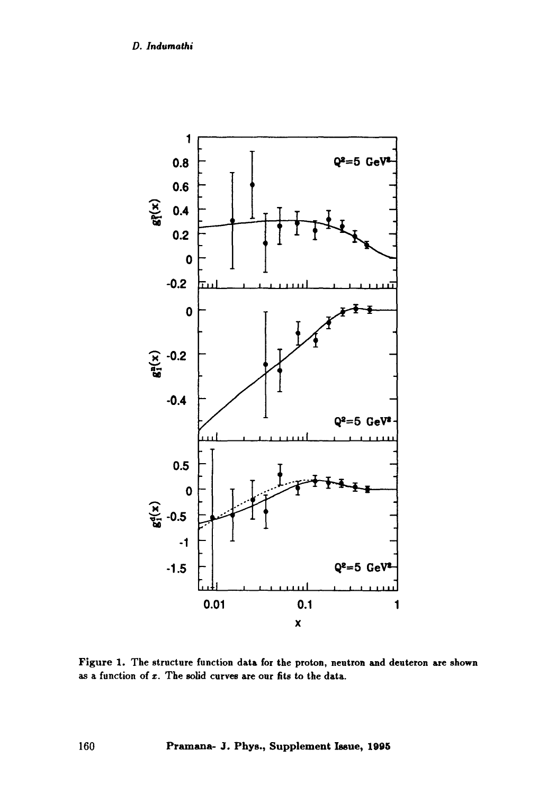

Figure 1. The structure function data for the proton, neutron and deuteron are shown as a function of  $x$ . The solid curves are our fits to the data.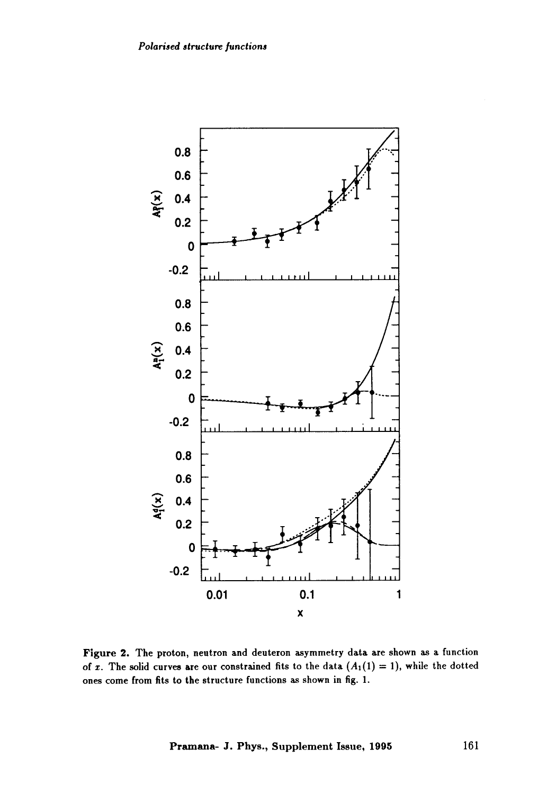

Figure 2. The proton, neutron and deuteron asymmetry data are shown as a function of x. The solid curves are our constrained fits to the data  $(A_1(1) = 1)$ , while the dotted ones come from fits to the structure functions as shown in fig. I.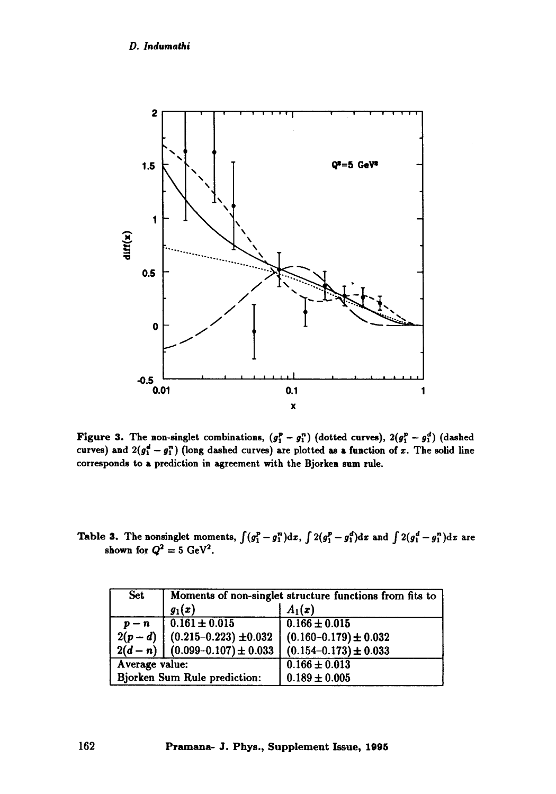

Figure 3. The non-singlet combinations,  $(g_1^p - g_1^n)$  (dotted curves),  $2(g_1^p - g_1^d)$  (dashed curves) and  $2(g_1^d - g_1^n)$  (long dashed curves) are plotted as a function of x. The solid line corresponds to a prediction in agreement with the Bjorken sum rule.

Table 3. The nonsinglet moments,  $\int (g_1^p - g_1^n) dx$ ,  $\int 2(g_1^p - g_1^q) dx$  and  $\int 2(g_1^d - g_1^n) dx$  are shown for  $Q^2 = 5$  GeV<sup>2</sup>.

| <b>Set</b>                   | Moments of non-singlet structure functions from fits to |                             |  |  |
|------------------------------|---------------------------------------------------------|-----------------------------|--|--|
|                              | $g_1(x)$                                                | $A_1(x)$                    |  |  |
| $p - n$                      | $\left[0.161 \pm 0.015\right]$                          | $0.166 \pm 0.015$           |  |  |
| $2(p-d)$                     | $(0.215 - 0.223) \pm 0.032$                             | $(0.160 - 0.179) \pm 0.032$ |  |  |
| $2(d-n)$                     | $(0.099 - 0.107) \pm 0.033$                             | $(0.154 - 0.173) \pm 0.033$ |  |  |
| Average value:               |                                                         | $0.166 \pm 0.013$           |  |  |
| Bjorken Sum Rule prediction: |                                                         | $0.189 \pm 0.005$           |  |  |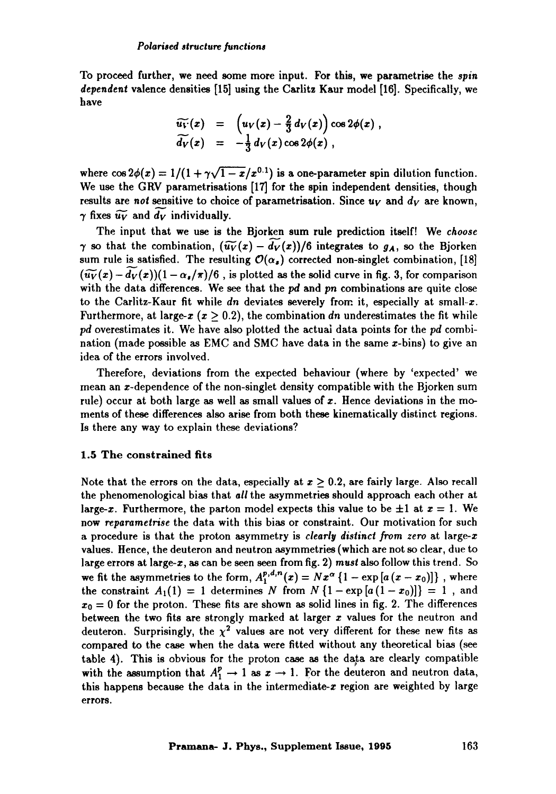To proceed further, we need some more input. For this, we parametrise the *spin dependent* valence densities [15] using the Carlitz Kaur model [16]. Specifically, we have

$$
\widetilde{u_V}(x) = \left( u_V(x) - \frac{2}{3} d_V(x) \right) \cos 2\phi(x) ,
$$
  
\n
$$
\widetilde{d_V}(x) = -\frac{1}{3} d_V(x) \cos 2\phi(x) ,
$$

where  $\cos 2\phi(x) = 1/(1 + \gamma \sqrt{1-x/x^{0.1}})$  is a one-parameter spin dilution function. We use the GRV parametrisations [17] for the spin independent densities, though results are *not* sensitive to choice of parametrisation. Since  $u_V$  and  $d_V$  are known,  $\gamma$  fixes  $\widetilde{u_V}$  and  $\widetilde{d_V}$  individually.

The input that we use is the Bjorken sum rule prediction itself! We *choose*   $\gamma$  so that the combination,  $(\widetilde{u_V}(x) - d_V(x))/6$  integrates to  $g_A$ , so the Bjorken sum rule is satisfied. The resulting  $\mathcal{O}(\alpha_s)$  corrected non-singlet combination, [18]  $({\widetilde{u_V}}(x) - {d_V}(x))(1 - {\alpha_s}/\pi)/6$ , is plotted as the solid curve in fig. 3, for comparison with the data differences. We see that the pd and *pn* combinations are quite close to the Carlitz-Kaur fit while *dn* deviates severely from it, especially at small-x. Furthermore, at large- $x$  ( $x \ge 0.2$ ), the combination *dn* underestimates the fit while *pd* overestimates it. We have also plotted the actual data points for the *pd* combination (made possible as EMC and SMC have data in the same  $x$ -bins) to give an idea of the errors involved.

Therefore, deviations from the expected behaviour (where by 'expected' we mean an x-dependence of the non-singlet density compatible with the Bjorken sum rule) occur at both large as well as small values of  $x$ . Hence deviations in the moments of these differences also arise from both these kinematically distinct regions. Is there any way to explain these deviations?

## 1.5 The constrained **fits**

Note that the errors on the data, especially at  $x > 0.2$ , are fairly large. Also recall the phenomenological bias that *all* the asymmetries should approach each other at large-x. Furthermore, the parton model expects this value to be  $\pm 1$  at  $x = 1$ . We now *reparametrise* the data with this bias or constraint. Our motivation for such a procedure is that the proton asymmetry is *clearly distinct from zero* at large-z values. Hence, the deuteron and neutron asymmetries (which are not so clear, due to large errors at large-x, as can be seen seen from fig. 2) *must* also follow this trend. So we fit the asymmetries to the form,  $A_1^{p,d,n}(x) = Nx^{\alpha} \{1 - \exp[a(x-x_0)]\}$ , where the constraint  $A_1(1) = 1$  determines N from  $N\{1 - \exp[a(1-x_0)]\} = 1$ , and  $x_0 = 0$  for the proton. These fits are shown as solid lines in fig. 2. The differences between the two fits are strongly marked at larger  $x$  values for the neutron and deuteron. Surprisingly, the  $\chi^2$  values are not very different for these new fits as compared to the case when the data were fitted without any theoretical bias (see table 4). This is obvious for the proton case as the data are clearly compatible with the assumption that  $A_1^p \rightarrow 1$  as  $x \rightarrow 1$ . For the deuteron and neutron data, this happens because the data in the intermediate-x region are weighted by large errors.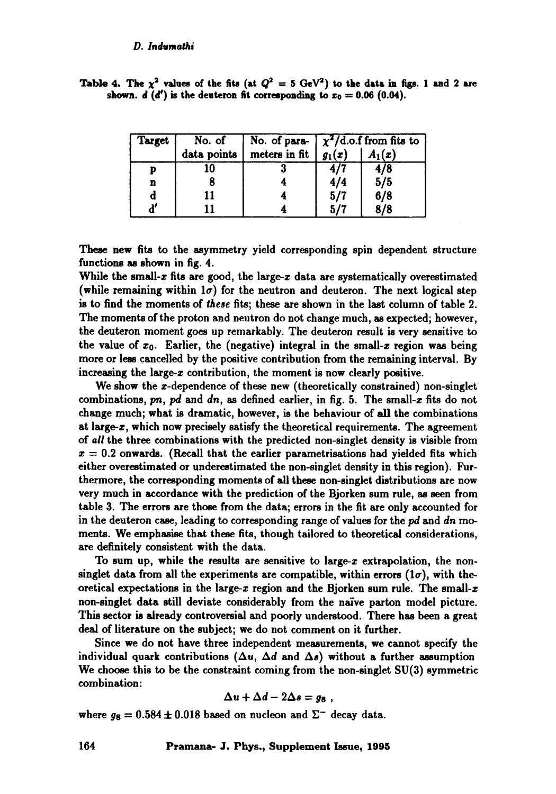| Target                | No. of      |                          | No. of para- $\frac{\chi^2}{d.o.f}$ from fits to |          |  |
|-----------------------|-------------|--------------------------|--------------------------------------------------|----------|--|
|                       | data points | meters in fit $ g_1(x) $ |                                                  | $A_1(x)$ |  |
|                       |             |                          |                                                  |          |  |
| n                     |             |                          | 4/4                                              | 5/5      |  |
| d                     |             |                          | 5/7                                              | 6/8      |  |
| $\mathbf{d}^{\prime}$ |             |                          | 5/7                                              | 8/8      |  |

Table 4. The  $\chi^2$  values of the fits (at  $Q^2 = 5$  GeV<sup>2</sup>) to the data in figs. 1 and 2 are shown,  $d(d')$  is the deuteron fit corresponding to  $x_0 = 0.06$  (0.04).

These new fits to the asymmetry yield corresponding spin dependent structure functions as shown in fig. 4.

While the small- $x$  fits are good, the large- $x$  data are systematically overestimated (while remaining within  $1\sigma$ ) for the neutron and deuteron. The next logical step is to find the moments of *these* fits; these are shown in the last column of table 2. The moments of the proton and neutron do not change much, as expected; however, the deuteron moment goes up remarkably. The deuteron result is very sensitive to the value of  $x_0$ . Earlier, the (negative) integral in the small-x region was being more or less cancelled by the positive contribution from the remaining interval. By increasing the large- $x$  contribution, the moment is now clearly positive.

We show the *x*-dependence of these new (theoretically constrained) non-singlet combinations,  $pn$ ,  $pd$  and  $dn$ , as defined earlier, in fig. 5. The small-x fits do not change much; what is dramatic, however, is the behaviour of all the combinations at large-z, which now precisely satisfy the theoretical requirements. The agreement of *all* the three combinations with the predicted non-singlet density is visible from  $x = 0.2$  onwards. (Recall that the earlier parametrisations had yielded fits which either overestimated or underestimated the non-singlet density in this region). Furthermore, the corresponding moments of all these non-singlet distributions are now very much in accordance with the prediction of the Bjorken sum rule, as seen from table 3. The errors are those from the data; errors in the fit are only accounted for in the deuteron case, leading to corresponding range of values for the pd and *dn mo*ments. We emphasise that these fits, though tailored to theoretical considerations, are definitely consistent with the data.

To sum up, while the results are sensitive to large-z extrapolation, the nonsinglet data from all the experiments are compatible, within errors  $(1\sigma)$ , with theoretical expectations in the large-x region and the Bjorken sum rule. The small-x non-singlet data still deviate considerably from the naive parton model picture. This sector is already controversial and poorly understood. There has been a great deal of literature on the subject; we do not comment on it further.

Since we do not have three independent measurements, we cannot specify the individual quark contributions ( $\Delta u$ ,  $\Delta d$  and  $\Delta s$ ) without a further assumption We choose this to be the constraint coming from the non-singlet SU(3) symmetric combination:

$$
\Delta u + \Delta d - 2\Delta s = g_8 ,
$$

where  $g_8 = 0.584 \pm 0.018$  based on nucleon and  $\Sigma^-$  decay data.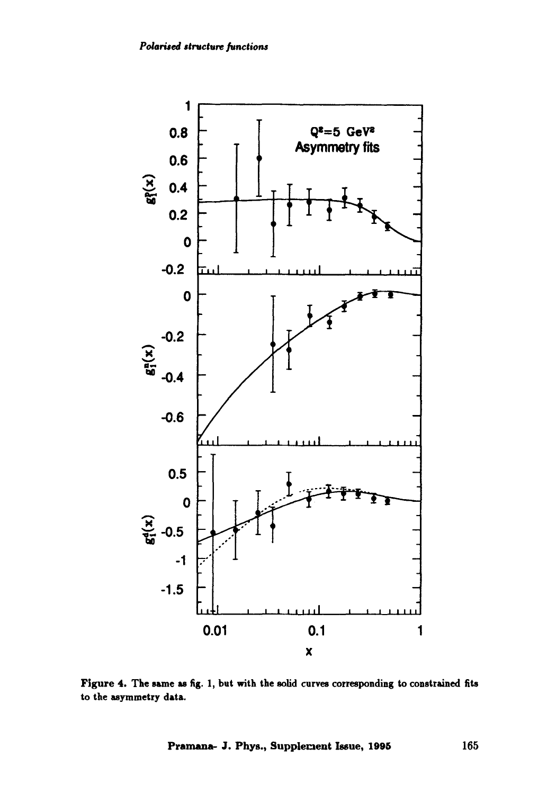

Figure 4. The same as fig. 1, but with the solid curves corresponding to constrained fits to the asymmetry data.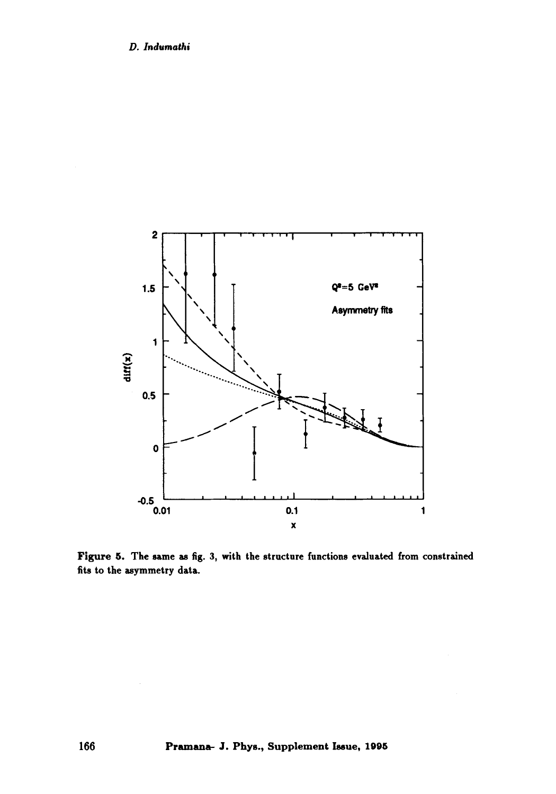

Figure 5. The same as fig. 3, with the structure functions evaluated from constrained fits to the asymmetry data.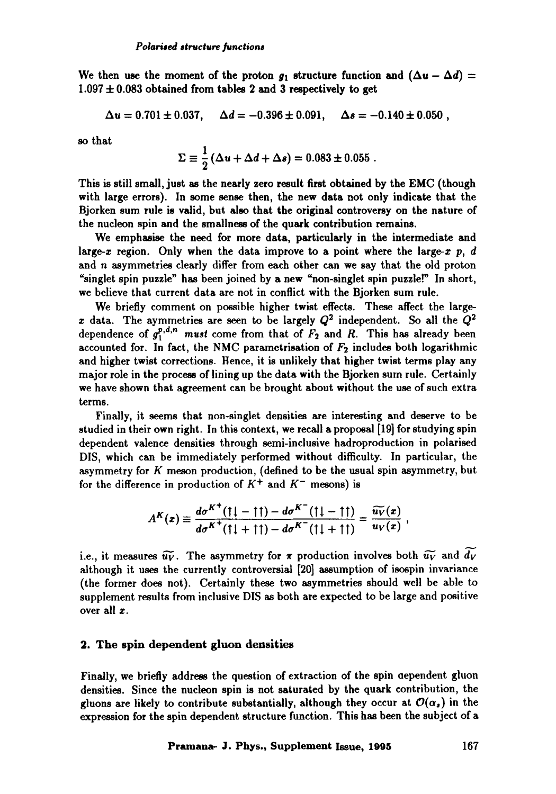We then use the moment of the proton  $g_1$  structure function and  $(\Delta u - \Delta d)$  =  $1.097 \pm 0.083$  obtained from tables 2 and 3 respectively to get

$$
\Delta u = 0.701 \pm 0.037, \quad \Delta d = -0.396 \pm 0.091, \quad \Delta s = -0.140 \pm 0.050,
$$

so that

$$
\Sigma \equiv \frac{1}{2} \left( \Delta u + \Delta d + \Delta s \right) = 0.083 \pm 0.055 \; .
$$

This is still small, just as the nearly zero result first obtained by the EMC (though with large errors). In some sense then, the new data not only indicate that the Bjorken sum rule is valid, but also that the original controversy on the nature of the nucleon spin and the smallness of the quark contribution remains.

We emphasise the need for more data, particularly in the intermediate and large-x region. Only when the data improve to a point where the large-x  $p$ , d and n asymmetries clearly differ from each other can we say that the old proton "singlet spin puzzle" has been joined by a new "non-singlet spin puzzle!" In short, we believe that current data are not in conflict with the Bjorken sum rule.

We briefly comment on possible higher twist effects. These affect the largex data. The aymmetries are seen to be largely  $Q^2$  independent. So all the  $Q^2$ dependence of  $g_1^{p,d,n}$  *must* come from that of  $F_2$  and R. This has already been accounted for. In fact, the NMC parametrisation of  $F_2$  includes both logarithmic and higher twist corrections. Hence, it is unlikely that higher twist terms play any major role in the process of lining up the data with the Bjorken sum rule. Certainly we have shown that agreement can be brought about without the use of such extra terms.

Finally, it seems that non-singlet densities are interesting and deserve to be studied in their own right. In this context, we recall a proposal [19] for studying spin dependent valence densities through semi-inclusive hadroproduction in polarised DIS, which can be immediately performed without difficulty. In particular, the asymmetry for  $K$  meson production, (defined to be the usual spin asymmetry, but for the difference in production of  $K^+$  and  $K^-$  mesons) is

$$
A^{K}(x) \equiv \frac{d\sigma^{K^{+}}(11-11)-d\sigma^{K^{-}}(11-11)}{d\sigma^{K^{+}}(11+11)-d\sigma^{K^{-}}(11+11)} = \frac{\widetilde{u_{V}}(x)}{u_{V}(x)},
$$

i.e., it measures  $\widetilde{u_V}$ . The asymmetry for  $\pi$  production involves both  $\widetilde{u_V}$  and  $\widetilde{d_V}$ although it uses the currently controversial [20] assumption of isospin invariance (the former does not). Certainly these two asymmetries should well be able to supplement results from inclusive DIS as both are expected to be large and positive over all z.

## **2. The spin dependent gluon densities**

Finally, we briefly address the question of extraction of the spin aependent gluon densities. Since the nucleon spin is not saturated by the quark contribution, the gluons are likely to contribute substantially, although they occur at  $\mathcal{O}(\alpha_s)$  in the expression for the spin dependent structure function. This has been the subject of a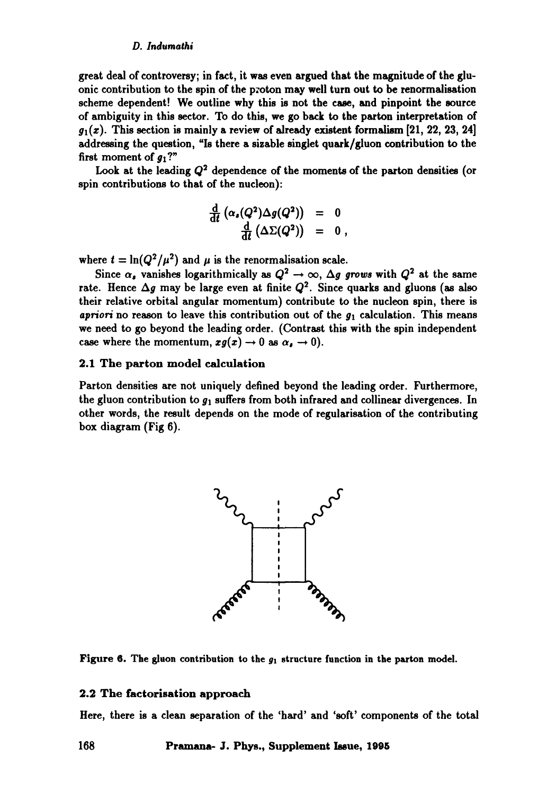great deal of controversy; in fact, it was even argued that the magnitude of the gluonic contribution to the spin of the p:oton may well turn out to be renormalisation scheme dependent! We outline why this is not the case, and pinpoint the source of ambiguity in this sector. To do this, we go back to the parton interpretation of  $g_1(x)$ . This section is mainly a review of already existent formalism [21, 22, 23, 24] addressing the question, "Is there a sizable singlet quark/gluon contribution to the first moment of  $g_1$ ?"

Look at the leading  $Q^2$  dependence of the moments of the parton densities (or spin contributions to that of the nucleon):

$$
\frac{\frac{\mathrm{d}}{\mathrm{d}t}(\alpha_s(Q^2)\Delta g(Q^2)) = 0}{\frac{\mathrm{d}}{\mathrm{d}t}(\Delta\Sigma(Q^2)) = 0,
$$

where  $t = \ln(Q^2/\mu^2)$  and  $\mu$  is the renormalisation scale.

Since  $\alpha_s$  vanishes logarithmically as  $Q^2 \to \infty$ ,  $\Delta g$  grows with  $Q^2$  at the same rate. Hence  $\Delta g$  may be large even at finite  $Q^2$ . Since quarks and gluons (as also their relative orbital angular momentum) contribute to the nucleon spin, there is *apriori* no reason to leave this contribution out of the  $g_1$  calculation. This means we need to go beyond the leading order. (Contrast this with the spin independent case where the momentum,  $xg(x) \rightarrow 0$  as  $\alpha_s \rightarrow 0$ ).

## 2.1 The parton model calculation

Parton densities are not uniquely defined beyond the leading order. Furthermore, the gluon contribution to  $g_1$  suffers from both infrared and collinear divergences. In other words, the result depends on the mode of regularisation of the contributing box diagram (Fig 6).



Figure 6. The gluon contribution to the  $g_1$  structure function in the parton model.

#### 2.2 The faetorisation approach

Here, there is a clean separation of the 'hard' and 'soft' components of the total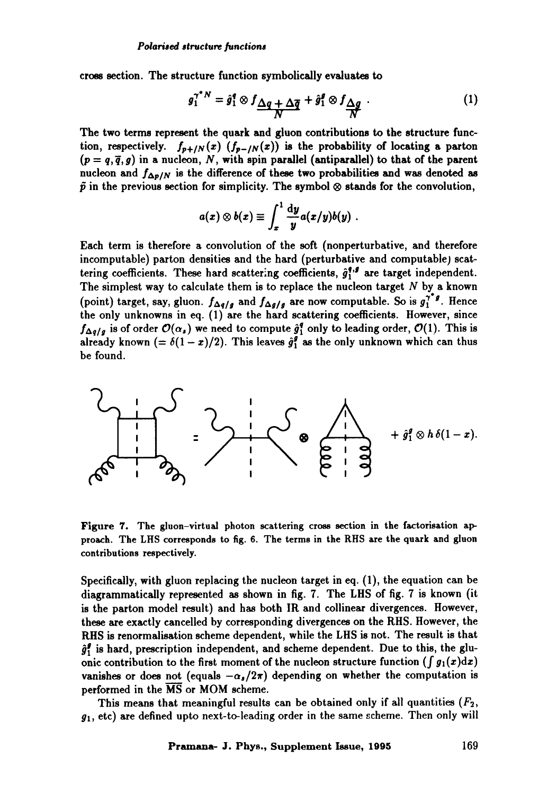cross section. The structure function symbolically evaluates to

$$
g_1^{\gamma^* N} = \hat{g}_1^q \otimes f_{\frac{\Delta q}{N}} + \frac{\Delta \overline{q}}{N} + \hat{g}_1^q \otimes f_{\frac{\Delta q}{N}}.
$$
 (1)

The two terms represent the quark and gluon contributions to the structure function, respectively.  $f_{p+|N}(x)$   $(f_{p-|N}(x))$  is the probability of locating a parton  $(p=q,\bar{q}, g)$  in a nucleon, N, with spin parallel (antiparallel) to that of the parent nucleon and  $f_{\Delta p/N}$  is the difference of these two probabilities and was denoted as  $\tilde{p}$  in the previous section for simplicity. The symbol  $\otimes$  stands for the convolution,

$$
a(x)\otimes b(x)\equiv \int_x^1\frac{\mathrm{d}y}{y}a(x/y)b(y).
$$

Each term is therefore a convolution of the soft (nonperturbative, and therefore incomputable) patton densities and the hard (perturbative and computable) scattering coefficients. These hard scattering coefficients,  $\hat{g}_1^{q,s}$  are target independent. The simplest way to calculate them is to replace the nucleon target  $N$  by a known (point) target, say, gluon.  $f_{\Delta q/g}$  and  $f_{\Delta g/g}$  are now computable. So is  $g_1^{\gamma g}$ . Hence the only unknowns in eq. (1) are the hard scattering coefficients. However, since  $f_{\Delta q/q}$  is of order  $\mathcal{O}(\alpha_s)$  we need to compute  $\hat{g}_1^q$  only to leading order,  $\mathcal{O}(1)$ . This is already known (=  $\delta(1-x)/2$ ). This leaves  $\hat{g}_1^g$  as the only unknown which can thus be found.

**= : | I I !**  + | h -

Figure 7. The gluon-virtual photon scattering cross section in the factorisation approach. The LHS corresponds to fig. 6. The terms in the RHS are the quark and gluon contributions respectively.

Specifically, with gluon replacing the nucleon target in eq. (1), the equation can be diagrammatically represented as shown in fig. 7. The LHS of fig. 7 is known (it is the patton model result) and has both IR and coilinear divergences. However, these are exactly cancelled by corresponding divergences on the RHS. However, the RHS is renormalisation scheme dependent, while the LHS is not. The result is that  $\hat{g}_1^g$  is hard, prescription independent, and scheme dependent. Due to this, the gluonic contribution to the first moment of the nucleon structure function ( $\int g_1(x)dx$ ) vanishes or does not (equals  $-\alpha_s/2\pi$ ) depending on whether the computation is performed in the MS or MOM scheme.

This means that meaningful results can be obtained only if all quantities  $(F_2,$  $g_1$ , etc) are defined upto next-to-leading order in the same scheme. Then only will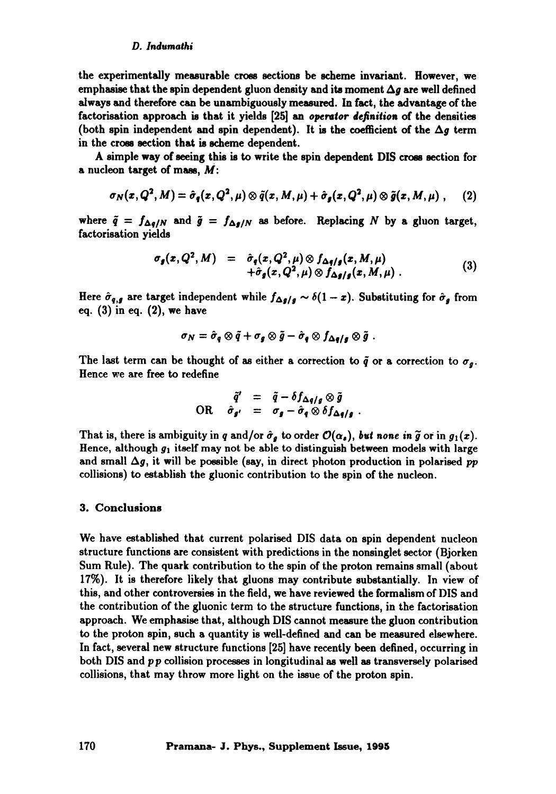the experimentally measurable cross sections be scheme invariant. However, we emphasise that the spin dependent gluon density and its moment  $\Delta q$  are well defined always and therefore can be unambiguously measured. In fact, the advantage of the factorisation approach is that it yields [25] an *operator definition* of the densities (both spin independent and spin dependent). It is the coefficient of the  $\Delta g$  term in the cross section that is scheme dependent.

A simple way of seeing this is to write the spin dependent DIS cross section for a nucleon target of mass,  $M$ :

$$
\sigma_N(x,Q^2,M)=\hat{\sigma}_q(x,Q^2,\mu)\otimes \tilde{q}(x,M,\mu)+\hat{\sigma}_g(x,Q^2,\mu)\otimes \tilde{g}(x,M,\mu)\;,\qquad(2)
$$

where  $\tilde{q} = f_{\Delta q/N}$  and  $\tilde{g} = f_{\Delta g/N}$  as before. Replacing N by a gluon target, factorisation yields

$$
\sigma_{g}(x, Q^{2}, M) = \hat{\sigma}_{g}(x, Q^{2}, \mu) \otimes f_{\Delta g/g}(x, M, \mu) + \hat{\sigma}_{g}(x, Q^{2}, \mu) \otimes f_{\Delta g/g}(x, M, \mu)
$$
 (3)

Here  $\hat{\sigma}_{q,g}$  are target independent while  $f_{\Delta g/g} \sim \delta(1-x)$ . Substituting for  $\hat{\sigma}_g$  from eq. (3) in eq. (2), we have

$$
\sigma_N = \hat{\sigma}_q \otimes \tilde{q} + \sigma_g \otimes \tilde{g} - \hat{\sigma}_q \otimes f_{\Delta q/g} \otimes \tilde{g}.
$$

The last term can be thought of as either a correction to  $\tilde{q}$  or a correction to  $\sigma_q$ . Hence we are free to redefine

$$
\tilde{q}' = \tilde{q} - \delta f_{\Delta q/g} \otimes \tilde{g}
$$
  
OR  $\hat{\sigma}_{g'} = \sigma_g - \hat{\sigma}_g \otimes \delta f_{\Delta q/g}$ .

That is, there is ambiguity in q and/or  $\hat{\sigma}_q$  to order  $\mathcal{O}(\alpha_s)$ , *but none in*  $\tilde{g}$  or in  $g_1(x)$ . Hence, although  $g_1$  itself may not be able to distinguish between models with large and small  $\Delta g$ , it will be possible (say, in direct photon production in polarised pp collisions) to establish the gluonic contribution to the spin of the nucleon.

#### 3. Conclusions

We have established that current polarised DIS data on spin dependent nucleon structure functions are consistent with predictions in the nonsinglet sector (Bjorken Sum Rule). The quark contribution to the spin of the proton remains small (about 17%). It is therefore likely that gluons may contribute substantially. In view of this, and other controversies in the field, we have reviewed the formalism of DIS and the contribution of the gluonic term to the structure functions, in the factorisation approach. We emphasise that, although DIS cannot measure the gluon contribution to the proton spin, such a quantity is well-defined and can be measured elsewhere. In fact, several new structure functions [25] have recently been defined, occurring in both DIS and *pp* collision processes in longitudinal as well as transversely polarised collisions, that may throw more light on the issue of the proton spin.